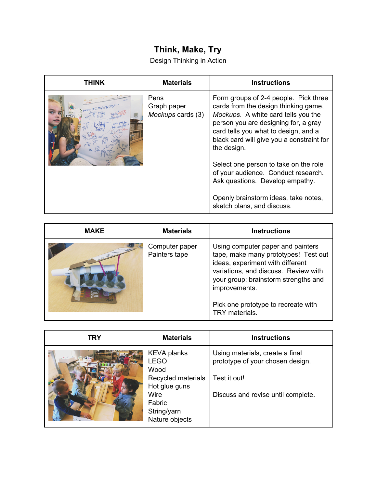## **Think, Make, Try**

Design Thinking in Action

| THINK | <b>Materials</b>                         | <b>Instructions</b>                                                                                                                                                                                                                                                                                                                                                                                                                                       |
|-------|------------------------------------------|-----------------------------------------------------------------------------------------------------------------------------------------------------------------------------------------------------------------------------------------------------------------------------------------------------------------------------------------------------------------------------------------------------------------------------------------------------------|
|       | Pens<br>Graph paper<br>Mockups cards (3) | Form groups of 2-4 people. Pick three<br>cards from the design thinking game,<br>Mockups. A white card tells you the<br>person you are designing for, a gray<br>card tells you what to design, and a<br>black card will give you a constraint for<br>the design.<br>Select one person to take on the role<br>of your audience. Conduct research.<br>Ask questions. Develop empathy.<br>Openly brainstorm ideas, take notes,<br>sketch plans, and discuss. |

| <b>MAKE</b> | <b>Materials</b>                | <b>Instructions</b>                                                                                                                                                                                                                                                     |
|-------------|---------------------------------|-------------------------------------------------------------------------------------------------------------------------------------------------------------------------------------------------------------------------------------------------------------------------|
|             | Computer paper<br>Painters tape | Using computer paper and painters<br>tape, make many prototypes! Test out<br>ideas, experiment with different<br>variations, and discuss. Review with<br>your group; brainstorm strengths and<br>improvements.<br>Pick one prototype to recreate with<br>TRY materials. |

| <b>TRY</b> | <b>Materials</b>                                                                                                                    | <b>Instructions</b>                                                                                                       |
|------------|-------------------------------------------------------------------------------------------------------------------------------------|---------------------------------------------------------------------------------------------------------------------------|
|            | <b>KEVA</b> planks<br><b>LEGO</b><br>Wood<br>Recycled materials<br>Hot glue guns<br>Wire<br>Fabric<br>String/yarn<br>Nature objects | Using materials, create a final<br>prototype of your chosen design.<br>Test it out!<br>Discuss and revise until complete. |